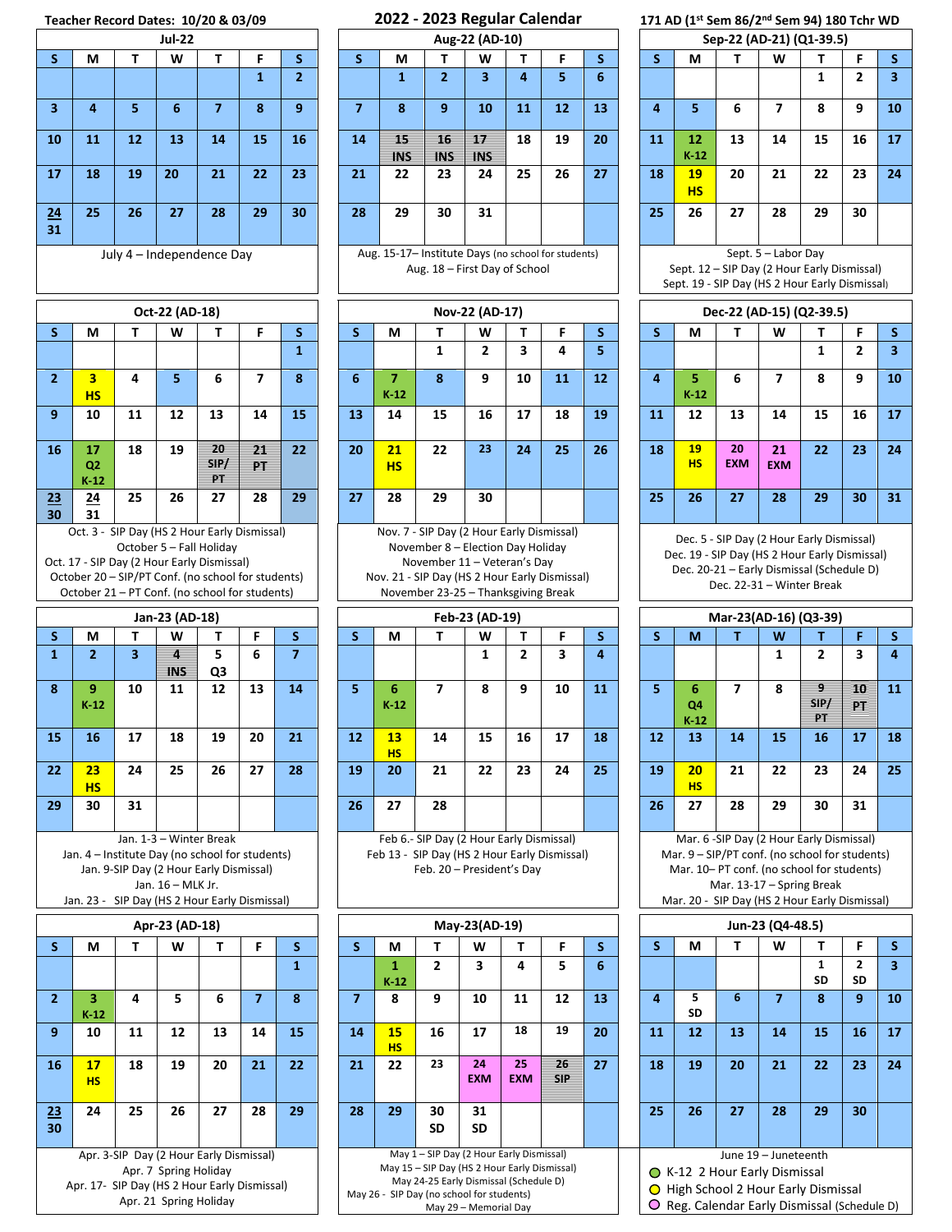## **Teacher Record Dates: 10/20 & 03/09 2022 - 2023 Regular Calendar 171 AD (1**

|                  |                                                                                                                                                    |    | Teacher Record Dates: 10/20 & 03/09                                                     |                  |              |                |    |                           | ZUZZ - ZUZJ NEB                           |                         |
|------------------|----------------------------------------------------------------------------------------------------------------------------------------------------|----|-----------------------------------------------------------------------------------------|------------------|--------------|----------------|----|---------------------------|-------------------------------------------|-------------------------|
|                  |                                                                                                                                                    |    | <b>Jul-22</b>                                                                           |                  |              |                |    |                           | Aug-22 (/                                 |                         |
| S                | М                                                                                                                                                  | т  | W                                                                                       | т                | F            | S              | S  | М                         | Τ                                         | v                       |
|                  |                                                                                                                                                    |    |                                                                                         |                  | $\mathbf{1}$ | 2              |    | 1                         | 2                                         | ē                       |
| 3                | 4                                                                                                                                                  | 5  | 6                                                                                       | $\overline{7}$   | 8            | 9              | 7  | 8                         | 9                                         | 1                       |
| 10               | 11                                                                                                                                                 | 12 | 13                                                                                      | 14               | 15           | 16             | 14 | 15<br>INS                 | 16<br>INS                                 | 17<br>IN                |
| 17               | 18                                                                                                                                                 | 19 | 20                                                                                      | 21               | 22           | 23             | 21 | 22                        | 23                                        | 2                       |
| 24<br>31         | 25                                                                                                                                                 | 26 | 27                                                                                      | 28               | 29           | 30             | 28 | 29                        | 30                                        | 3                       |
|                  |                                                                                                                                                    |    | July 4 - Independence Day                                                               |                  |              |                |    | Aug. 15-17- Institute Day | Aug. 18 - First D                         |                         |
|                  |                                                                                                                                                    |    | Oct-22 (AD-18)                                                                          |                  |              |                |    |                           | Nov-22 (                                  |                         |
| S                | М                                                                                                                                                  | т  | w                                                                                       | т                | F            | S              | S  | M                         | т                                         | v                       |
|                  |                                                                                                                                                    |    |                                                                                         |                  |              | 1              |    |                           | 1                                         |                         |
| 2                | 3<br>HS                                                                                                                                            | 4  | 5                                                                                       | 6                | 7            | 8              | 6  | 7<br>$K-12$               | 8                                         | S                       |
| $\boldsymbol{9}$ | 10                                                                                                                                                 | 11 | 12                                                                                      | 13               | 14           | 15             | 13 | 14                        | 15                                        | 1                       |
| 16               | 17<br>Q <sub>2</sub><br>$K-12$                                                                                                                     | 18 | 19                                                                                      | 20<br>SIP/<br>PT | 21<br>PТ     | 22             | 20 | 21<br>HS                  | 22                                        | $\overline{\mathbf{c}}$ |
| 23<br>30         | <u> 24</u><br>31                                                                                                                                   | 25 | 26                                                                                      | 27               | 28           | 29             | 27 | 28                        | 29                                        | 3                       |
|                  | Oct. 17 - SIP Day (2 Hour Early Dismissal)<br>October 20 – SIP/PT Conf. (no school for students)<br>October 21 - PT Conf. (no school for students) |    |                                                                                         |                  |              |                |    | Nov. 21 - SIP Day (HS 2 I | November 11-\<br>November 23-25 - Tl      |                         |
|                  |                                                                                                                                                    |    | Jan-23 (AD-18)                                                                          |                  |              |                |    |                           | Feb-23 (A                                 |                         |
| S                | М                                                                                                                                                  | т  | W                                                                                       | т                | F.           | S              | S  | M                         | Τ                                         | ٧                       |
| $\mathbf{1}$     | $\overline{2}$                                                                                                                                     | 3  | 4<br>INS                                                                                | 5<br>Q3          | 6            | $\overline{z}$ |    |                           |                                           |                         |
| 8                | 9<br>$K-12$                                                                                                                                        | 10 | 11                                                                                      | 12               | 13           | 14             | 5  | 6<br>$K-12$               | 7                                         | ٤                       |
| 15               | 16                                                                                                                                                 | 17 | 18                                                                                      | 19               | 20           | 21             | 12 | 13<br><b>HS</b>           | 14                                        | 1                       |
| 22               | 23<br><b>HS</b>                                                                                                                                    | 24 | 25                                                                                      | 26               | 27           | 28             | 19 | 20                        | 21                                        | 2                       |
| 29               | 30                                                                                                                                                 | 31 |                                                                                         |                  |              |                | 26 | 27                        | 28                                        |                         |
|                  | Jan. 4 - Institute Day (no school for students)<br>Jan. 23 - SIP Day (HS 2 Hour Early Dismissal)                                                   |    | Jan. 1-3 - Winter Break<br>Jan. 9-SIP Day (2 Hour Early Dismissal)<br>Jan. 16 - MLK Jr. |                  |              |                |    | Feb 13 - SIP Day (HS 2 H  | Feb 6 .- SIP Day (2 Hor<br>Feb. 20 - Pres |                         |
|                  |                                                                                                                                                    |    | Apr-23 (AD-18)                                                                          |                  |              |                |    |                           | May-23 $($                                |                         |
| S                | M                                                                                                                                                  | т  | w                                                                                       | т                | F            | S              | S  | М                         | Τ                                         | W                       |
|                  |                                                                                                                                                    |    |                                                                                         |                  |              | 1              |    | 1<br>$K-12$               | 2                                         | з                       |
| 2                | з.<br>$K-12$                                                                                                                                       | 4  | 5                                                                                       | 6                | 7            | 8              | 7  | 8                         | 9                                         | 10                      |
| 9                | 10                                                                                                                                                 | 11 | 12                                                                                      | 13               | 14           | 15             | 14 | 15<br><u>HS</u>           | 16                                        | 17                      |
| 16               | 17<br><b>HS</b>                                                                                                                                    | 18 | 19                                                                                      | 20               | 21           | 22             | 21 | 22                        | 23                                        | 24<br><b>EXN</b>        |
| 23<br>30         | 24                                                                                                                                                 | 25 | 26                                                                                      | 27               | 28           | 29             | 28 | 29                        | 30<br><b>SD</b>                           | 31<br>SD                |
|                  |                                                                                                                                                    |    | Apr. 3-SIP Day (2 Hour Early Dismissal)                                                 |                  |              |                |    |                           | May 1 - SIP Day (2 Ho                     |                         |

Apr. 7 Spring Holiday Apr. 17- SIP Day (HS 2 Hour Early Dismissal) Apr. 21 Spring Holiday

|                  |    |    | <b>Jul-22</b> |    |    |    | Aug-22 (AD-10) |                  |                  |                  |    |    |    |  | Sep-22 (AD-21) (Q1-39.5) |                        |    |    |    |    |    |  |
|------------------|----|----|---------------|----|----|----|----------------|------------------|------------------|------------------|----|----|----|--|--------------------------|------------------------|----|----|----|----|----|--|
| S.               | М  |    | W             |    | F  | S  |                | М                |                  | W                |    |    | S  |  |                          | М                      |    | W  |    | Е  | s  |  |
|                  |    |    |               |    |    | n. |                |                  | <u>.</u>         | 3                | 4  | 5  | 6  |  |                          |                        |    |    |    | 2  | 3  |  |
| $\overline{3}$   | 4  | 5  | ь             |    | 8  | 9  |                | 8                | 9                | 10               | 11 | 12 | 13 |  | 4                        | 5                      | 6  | ⇁  | 8  | 9  | 10 |  |
| 10               | 11 | 12 | 13            | 14 | 15 | 16 | 14             | 15<br><b>INS</b> | 16<br><b>INS</b> | 17<br><b>INS</b> | 18 | 19 | 20 |  | 11                       | 12<br>$K-12$           | 13 | 14 | 15 | 16 | 17 |  |
| 17               | 18 | 19 | 20            | 21 | 22 | 23 | 21             | 22               | 23               | 24               | 25 | 26 | 27 |  | 18                       | <b>19</b><br><b>HS</b> | 20 | 21 | 22 | 23 | 24 |  |
| <u> 24</u><br>31 | 25 | 26 | 27            | 28 | 29 | 30 | 28             | 29               | 30               | 31               |    |    |    |  | 25                       | 26                     | 27 | 28 | 29 | 30 |    |  |
|                  |    |    |               |    |    |    |                |                  |                  |                  |    |    |    |  |                          |                        |    |    |    |    |    |  |

Aug. 15-17– Institute Days (no school for students) Aug. 18 – First Day of School

|                |                                |    | Oct-22 (AD-18) |                         |           |    |    |                 |    | Nov-22 (AD-17) |    |    |    |    |                 |                  | Dec-22 (AD-15) (Q2-39.5) |    |    |    |
|----------------|--------------------------------|----|----------------|-------------------------|-----------|----|----|-----------------|----|----------------|----|----|----|----|-----------------|------------------|--------------------------|----|----|----|
|                | M                              |    | W              |                         |           | э  |    | М               |    | W              |    |    | S  |    | М               |                  | W                        |    |    | э  |
|                |                                |    |                |                         |           |    |    |                 |    | 2              | 3  | 4  | 5  |    |                 |                  |                          |    | 2  | 3  |
|                | 3<br><b>HS</b>                 | 4  | 5              | 6                       |           | 8  | 6  | ۰.<br>$K-12$    | 8  | 9              | 10 | 11 | 12 | 4  | 5<br>$K-12$     | 6                | 7                        | 8  | 9  | 10 |
| 9.             | 10                             | 11 | 12             | 13                      | 14        | 15 | 13 | 14              | 15 | 16             | 17 | 18 | 19 | 11 | 12              | 13               | 14                       | 15 | 16 | 17 |
| 6 <sup>1</sup> | 17<br>Q <sub>2</sub><br>$K-12$ | 18 | 19             | 20<br>SIP/<br><b>PT</b> | 21<br>PT. | 22 | 20 | 21<br><b>HS</b> | 22 | 23             | 24 | 25 | 26 | 18 | 19<br><b>HS</b> | 20<br><b>EXM</b> | 21<br><b>EXM</b>         | 22 | 23 | 24 |
| <u>.3</u>      | 24<br>$\sim$                   | 25 | 26             | 27                      | 28        | 29 | 27 | 28              | 29 | 30             |    |    |    | 25 | 26              | 27               | 28                       | 29 | 30 | 31 |

Nov. 7 - SIP Day (2 Hour Early Dismissal) November 8 – Election Day Holiday November 11 – Veteran's Day Nov. 21 - SIP Day (HS 2 Hour Early Dismissal) November 23-25 – Thanksgiving Break

Feb 6.- SIP Day (2 Hour Early Dismissal) Feb 13 - SIP Day (HS 2 Hour Early Dismissal) Feb. 20 – President's Day

|                              |    |                       | $50 20$ on $501$ (no $2 50 50 50$       |    |    |    |                 |                                                                                                                                          |                  |                  |                      |                 |                |                               |                 |                      |    |                      |                |
|------------------------------|----|-----------------------|-----------------------------------------|----|----|----|-----------------|------------------------------------------------------------------------------------------------------------------------------------------|------------------|------------------|----------------------|-----------------|----------------|-------------------------------|-----------------|----------------------|----|----------------------|----------------|
|                              |    | Apr-23 (AD-18)        |                                         |    |    |    |                 |                                                                                                                                          | May-23(AD-19)    |                  |                      |                 |                |                               |                 | Jun-23 (Q4-48.5)     |    |                      |                |
| М                            |    | W                     |                                         | E. |    |    | M               |                                                                                                                                          | W                |                  |                      |                 |                | М                             |                 | W                    |    |                      |                |
|                              |    |                       |                                         |    |    |    | $K-12$          |                                                                                                                                          |                  |                  |                      |                 |                |                               |                 |                      | SD | $\overline{2}$<br>SD | $\overline{3}$ |
| $K-12$                       | 4  |                       | b                                       |    |    |    | 8               | -9                                                                                                                                       | 10               | 11               | 12                   | 13              | $\overline{a}$ | SD                            |                 |                      |    | 9                    | 10             |
| 10                           | 11 | 12                    | 13                                      | 14 | 15 | 14 | 15<br><b>HS</b> | 16                                                                                                                                       | 17               | 18               | 19                   | 20 <sup>°</sup> | 11             | 12                            | 13 <sup>1</sup> | 14                   | 15 | <b>16</b>            | 17             |
| 17 <sub>l</sub><br><b>HS</b> | 18 | 19                    | 20                                      | 21 | 22 | 21 | 22              | 23                                                                                                                                       | 24<br><b>EXM</b> | 25<br><b>EXM</b> | $26 -$<br><b>SIP</b> | 27              | 18             | <b>19</b>                     | 20              | 21                   | 22 | 23                   | 24             |
| 24                           | 25 | 26                    | 27                                      | 28 | 29 | 28 | 29              | 30<br><b>SD</b>                                                                                                                          | 31<br><b>SD</b>  |                  |                      |                 | 25             | 26                            | 27              | 28                   | 29 | 30                   |                |
|                              |    | Apr. 7 Spring Holiday | Apr. 3-SIP Day (2 Hour Early Dismissal) |    |    |    |                 | May 1 - SIP Day (2 Hour Early Dismissal)<br>May 15 - SIP Day (HS 2 Hour Early Dismissal)<br>March 24, 25 Feeb, Discriptor US-bended - D) |                  |                  |                      |                 |                | ◯ K-12 2 Hour Early Dismissal |                 | June 19 - Juneteenth |    |                      |                |

Early Dismissal (Schedule D) May 26 - SIP Day (no school for students) May 29 – Memorial Day

|                  | 023 Regular Calendar                                                                                    |                  |                                       |    |                                                                                    |                   |                                                                                                                                                                                                                        |                      |                 |          |    |  |  |  |  |  |
|------------------|---------------------------------------------------------------------------------------------------------|------------------|---------------------------------------|----|------------------------------------------------------------------------------------|-------------------|------------------------------------------------------------------------------------------------------------------------------------------------------------------------------------------------------------------------|----------------------|-----------------|----------|----|--|--|--|--|--|
|                  | Aug-22 (AD-10)                                                                                          |                  |                                       |    | 171 AD (1st Sem 86/2 <sup>nd</sup> Sem 94) 180 Tchr WD<br>Sep-22 (AD-21) (Q1-39.5) |                   |                                                                                                                                                                                                                        |                      |                 |          |    |  |  |  |  |  |
| т                | W                                                                                                       | т                | F                                     | S  | S                                                                                  | М                 | т                                                                                                                                                                                                                      | W                    | Т               | F        | S  |  |  |  |  |  |
| $\mathbf{2}$     | 3                                                                                                       | 4                | 5                                     | 6  |                                                                                    |                   |                                                                                                                                                                                                                        |                      | 1               | 2        | 3. |  |  |  |  |  |
| 9                | 10                                                                                                      | 11               | 12                                    | 13 | 4                                                                                  | 5                 | 6                                                                                                                                                                                                                      | 7                    | 8               | 9        | 10 |  |  |  |  |  |
| 16<br><b>INS</b> | 17<br><b>INS</b>                                                                                        | 18               | 19                                    | 20 | 11                                                                                 | 12<br>$K-12$      | 13                                                                                                                                                                                                                     | 14                   | 15              | 16       | 17 |  |  |  |  |  |
| 23               | 24                                                                                                      | 25               | 26                                    | 27 | 18                                                                                 | <u>19</u>         | 20                                                                                                                                                                                                                     | 21                   | 22              | 23       | 24 |  |  |  |  |  |
| 30               | 31                                                                                                      |                  |                                       |    | 25                                                                                 | <b>HS</b><br>26   | 27                                                                                                                                                                                                                     | 28                   | 29              | 30       |    |  |  |  |  |  |
|                  |                                                                                                         |                  |                                       |    |                                                                                    |                   |                                                                                                                                                                                                                        |                      |                 |          |    |  |  |  |  |  |
|                  | 18 – First Day of School                                                                                |                  | stitute Days (no school for students) |    |                                                                                    |                   | Sept. 12 - SIP Day (2 Hour Early Dismissal)<br>Sept. 19 - SIP Day (HS 2 Hour Early Dismissal)                                                                                                                          | Sept. 5 - Labor Day  |                 |          |    |  |  |  |  |  |
|                  | Nov-22 (AD-17)                                                                                          |                  |                                       |    |                                                                                    |                   | Dec-22 (AD-15) (Q2-39.5)                                                                                                                                                                                               |                      |                 |          |    |  |  |  |  |  |
| т                | W                                                                                                       | т                | F.                                    | s  | S                                                                                  | М                 | т                                                                                                                                                                                                                      | W                    | т               | F        | s  |  |  |  |  |  |
| 1                | 2                                                                                                       | 3                | 4                                     | 5  |                                                                                    |                   |                                                                                                                                                                                                                        |                      | 1               | 2        | 3  |  |  |  |  |  |
| 8                | 9                                                                                                       | 10               | 11                                    | 12 | 4                                                                                  | 5.<br>$K-12$      | 6                                                                                                                                                                                                                      | 7                    | 8               | 9        | 10 |  |  |  |  |  |
| 15               | 16                                                                                                      | 17               | 18                                    | 19 | 11                                                                                 | 12                | 13                                                                                                                                                                                                                     | 14                   | 15              | 16       | 17 |  |  |  |  |  |
| 22               | 23                                                                                                      | 24               | 25                                    | 26 | 18                                                                                 | 19<br><b>HS</b>   | 20<br><b>EXM</b>                                                                                                                                                                                                       | 21<br><b>EXM</b>     | 22              | 23       | 24 |  |  |  |  |  |
| 29               | 30                                                                                                      |                  |                                       |    | 25                                                                                 | 26                | 27                                                                                                                                                                                                                     | 28                   | 29              | 30       | 31 |  |  |  |  |  |
|                  | er 8 - Election Day Holiday<br>mber 11 – Veteran's Day<br>r 23-25 – Thanksgiving Break                  |                  | Day (HS 2 Hour Early Dismissal)       |    |                                                                                    |                   | Dec. 5 - SIP Day (2 Hour Early Dismissal)<br>Dec. 19 - SIP Day (HS 2 Hour Early Dismissal)<br>Dec. 20-21 – Early Dismissal (Schedule D)<br>Dec. 22-31 - Winter Break                                                   |                      |                 |          |    |  |  |  |  |  |
|                  | Feb-23 (AD-19)                                                                                          |                  |                                       |    |                                                                                    |                   | Mar-23(AD-16) (Q3-39)                                                                                                                                                                                                  |                      |                 |          |    |  |  |  |  |  |
| Τ                | W                                                                                                       | т                | F                                     | S  | $\mathsf{s}$                                                                       | М                 | т                                                                                                                                                                                                                      | W                    | т               | F        | S. |  |  |  |  |  |
|                  | 1                                                                                                       | 2                | 3                                     | 4  |                                                                                    |                   |                                                                                                                                                                                                                        | 1                    | 2               | 3        | 4  |  |  |  |  |  |
| 7                | 8                                                                                                       |                  |                                       |    |                                                                                    |                   |                                                                                                                                                                                                                        |                      |                 |          |    |  |  |  |  |  |
|                  |                                                                                                         | 9                | 10                                    | 11 | 5                                                                                  | 6<br>Q4<br>$K-12$ | 7                                                                                                                                                                                                                      | 8                    | 9<br>SIP/<br>PT | 10<br>PT | 11 |  |  |  |  |  |
| 14               | 15                                                                                                      | 16               | 17                                    | 18 | 12                                                                                 | 13                | 14                                                                                                                                                                                                                     | 15                   | 16              | 17       | 18 |  |  |  |  |  |
| 21               | 22                                                                                                      | 23               | 24                                    | 25 | 19                                                                                 | 20<br><b>HS</b>   | 21                                                                                                                                                                                                                     | 22                   | 23              | 24       | 25 |  |  |  |  |  |
| 28               |                                                                                                         |                  |                                       |    | 26                                                                                 | 27                | 28                                                                                                                                                                                                                     | 29                   | 30              | 31       |    |  |  |  |  |  |
|                  | Day (2 Hour Early Dismissal)<br>. 20 - President's Day                                                  |                  | Day (HS 2 Hour Early Dismissal)       |    |                                                                                    |                   | Mar. 6 - SIP Day (2 Hour Early Dismissal)<br>Mar. 9 - SIP/PT conf. (no school for students)<br>Mar. 10-PT conf. (no school for students)<br>Mar. 13-17 - Spring Break<br>Mar. 20 - SIP Day (HS 2 Hour Early Dismissal) |                      |                 |          |    |  |  |  |  |  |
|                  | May-23(AD-19)                                                                                           |                  |                                       |    |                                                                                    |                   |                                                                                                                                                                                                                        | Jun-23 (Q4-48.5)     |                 |          |    |  |  |  |  |  |
| Τ                | W                                                                                                       | т                | F                                     | S  | S                                                                                  | М                 | Τ                                                                                                                                                                                                                      | W                    | Т               | F        | S  |  |  |  |  |  |
| $\mathbf{2}$     | 3                                                                                                       | 4                | 5                                     | 6  |                                                                                    |                   |                                                                                                                                                                                                                        |                      | 1<br>SD         | 2<br>SD  | 3  |  |  |  |  |  |
| 9                | 10                                                                                                      | 11               | 12                                    | 13 | 4                                                                                  | 5<br>SD           | 6                                                                                                                                                                                                                      | 7                    | 8               | 9        | 10 |  |  |  |  |  |
| 16               | 17                                                                                                      | 18               | 19                                    | 20 | 11                                                                                 | 12                | 13                                                                                                                                                                                                                     | 14                   | 15              | 16       | 17 |  |  |  |  |  |
| 23               | 24<br><b>EXM</b>                                                                                        | 25<br><b>EXM</b> | 26<br><b>SIP</b>                      | 27 | 18                                                                                 | 19                | 20                                                                                                                                                                                                                     | 21                   | 22              | 23       | 24 |  |  |  |  |  |
| 30<br>SD         | 31<br>SD                                                                                                |                  |                                       |    | 25                                                                                 | 26                | 27                                                                                                                                                                                                                     | 28                   | 29              | 30       |    |  |  |  |  |  |
|                  | iP Day (2 Hour Early Dismissal)<br>P Day (HS 2 Hour Early Dismissal)<br>25 Early Dismissal (Schedule D) |                  |                                       |    |                                                                                    |                   | ○ K-12 2 Hour Early Dismissal                                                                                                                                                                                          | June 19 - Juneteenth |                 |          |    |  |  |  |  |  |

O Reg. Calendar Early Dismissal (Schedule D)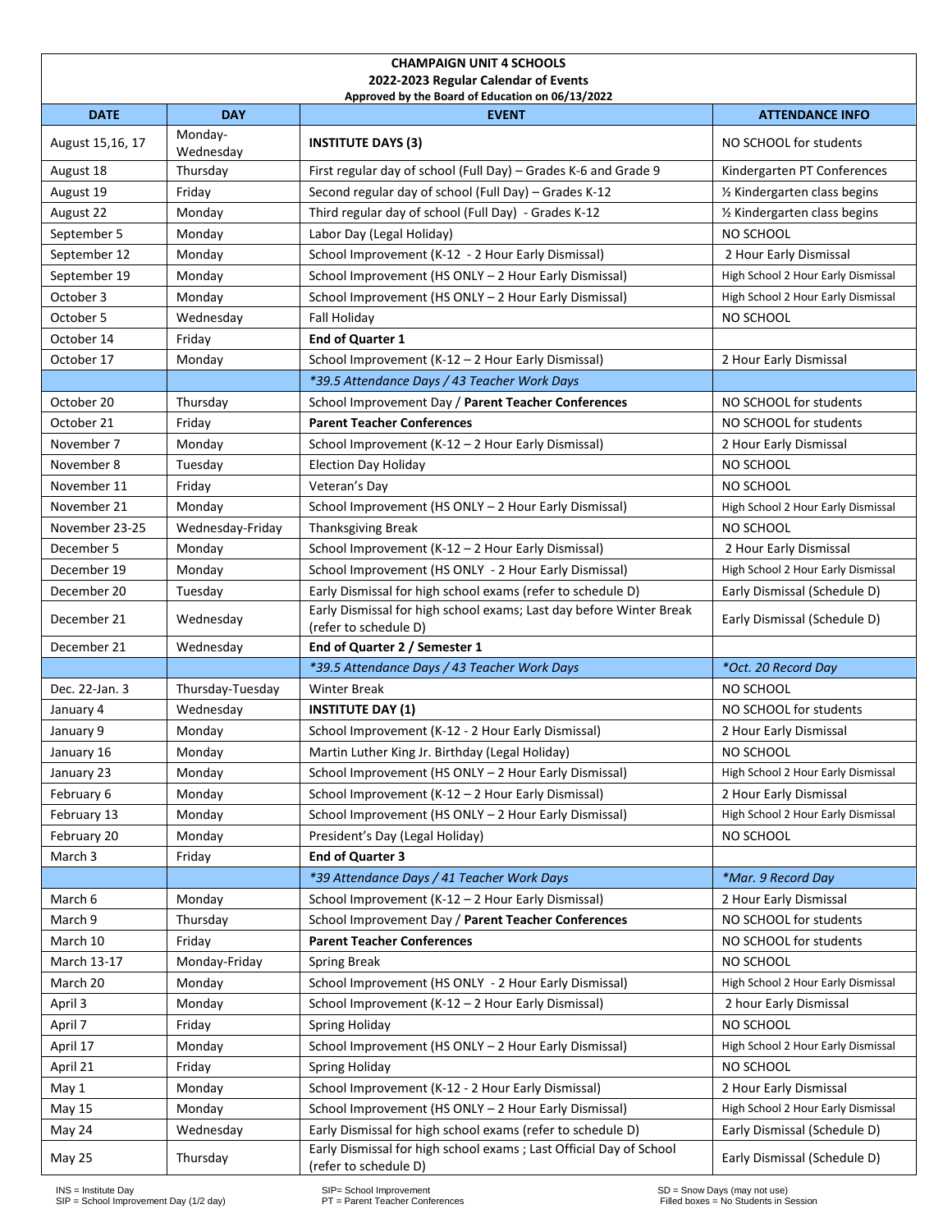| <b>CHAMPAIGN UNIT 4 SCHOOLS</b><br>2022-2023 Regular Calendar of Events |                      |                                                                                              |                                    |  |  |  |  |  |  |  |
|-------------------------------------------------------------------------|----------------------|----------------------------------------------------------------------------------------------|------------------------------------|--|--|--|--|--|--|--|
|                                                                         |                      | Approved by the Board of Education on 06/13/2022                                             |                                    |  |  |  |  |  |  |  |
| <b>DATE</b>                                                             | <b>DAY</b>           | <b>EVENT</b>                                                                                 | <b>ATTENDANCE INFO</b>             |  |  |  |  |  |  |  |
| August 15,16, 17                                                        | Monday-<br>Wednesday | <b>INSTITUTE DAYS (3)</b>                                                                    | NO SCHOOL for students             |  |  |  |  |  |  |  |
| August 18                                                               | Thursday             | First regular day of school (Full Day) - Grades K-6 and Grade 9                              | Kindergarten PT Conferences        |  |  |  |  |  |  |  |
| August 19                                                               | Friday               | Second regular day of school (Full Day) - Grades K-12                                        | 1/2 Kindergarten class begins      |  |  |  |  |  |  |  |
| August 22                                                               | Monday               | Third regular day of school (Full Day) - Grades K-12                                         | 1/2 Kindergarten class begins      |  |  |  |  |  |  |  |
| September 5                                                             | Monday               | Labor Day (Legal Holiday)                                                                    | NO SCHOOL                          |  |  |  |  |  |  |  |
| September 12                                                            | Monday               | School Improvement (K-12 - 2 Hour Early Dismissal)                                           | 2 Hour Early Dismissal             |  |  |  |  |  |  |  |
| September 19                                                            | Monday               | School Improvement (HS ONLY - 2 Hour Early Dismissal)                                        | High School 2 Hour Early Dismissal |  |  |  |  |  |  |  |
| October 3                                                               | Monday               | School Improvement (HS ONLY - 2 Hour Early Dismissal)                                        | High School 2 Hour Early Dismissal |  |  |  |  |  |  |  |
| October 5                                                               | Wednesday            | Fall Holiday                                                                                 | NO SCHOOL                          |  |  |  |  |  |  |  |
| October 14                                                              | Friday               | End of Quarter 1                                                                             |                                    |  |  |  |  |  |  |  |
| October 17                                                              | Monday               | School Improvement (K-12 - 2 Hour Early Dismissal)                                           | 2 Hour Early Dismissal             |  |  |  |  |  |  |  |
|                                                                         |                      | *39.5 Attendance Days / 43 Teacher Work Days                                                 |                                    |  |  |  |  |  |  |  |
| October 20                                                              | Thursday             | School Improvement Day / Parent Teacher Conferences                                          | NO SCHOOL for students             |  |  |  |  |  |  |  |
| October 21                                                              | Friday               | <b>Parent Teacher Conferences</b>                                                            | NO SCHOOL for students             |  |  |  |  |  |  |  |
| November 7                                                              | Monday               | School Improvement (K-12 - 2 Hour Early Dismissal)                                           | 2 Hour Early Dismissal             |  |  |  |  |  |  |  |
| November 8                                                              | Tuesday              | <b>Election Day Holiday</b>                                                                  | NO SCHOOL                          |  |  |  |  |  |  |  |
| November 11                                                             | Friday               | Veteran's Day                                                                                | NO SCHOOL                          |  |  |  |  |  |  |  |
| November 21                                                             | Monday               | School Improvement (HS ONLY - 2 Hour Early Dismissal)                                        | High School 2 Hour Early Dismissal |  |  |  |  |  |  |  |
| November 23-25                                                          | Wednesday-Friday     | <b>Thanksgiving Break</b>                                                                    | NO SCHOOL                          |  |  |  |  |  |  |  |
| December 5                                                              | Monday               | School Improvement (K-12 - 2 Hour Early Dismissal)                                           | 2 Hour Early Dismissal             |  |  |  |  |  |  |  |
| December 19                                                             | Monday               | School Improvement (HS ONLY - 2 Hour Early Dismissal)                                        | High School 2 Hour Early Dismissal |  |  |  |  |  |  |  |
| December 20                                                             | Tuesday              | Early Dismissal for high school exams (refer to schedule D)                                  | Early Dismissal (Schedule D)       |  |  |  |  |  |  |  |
| December 21                                                             | Wednesday            | Early Dismissal for high school exams; Last day before Winter Break<br>(refer to schedule D) | Early Dismissal (Schedule D)       |  |  |  |  |  |  |  |
| December 21                                                             | Wednesday            | End of Quarter 2 / Semester 1                                                                |                                    |  |  |  |  |  |  |  |
|                                                                         |                      | *39.5 Attendance Days / 43 Teacher Work Days                                                 | *Oct. 20 Record Day                |  |  |  |  |  |  |  |
| Dec. 22-Jan. 3                                                          | Thursday-Tuesday     | <b>Winter Break</b>                                                                          | NO SCHOOL                          |  |  |  |  |  |  |  |
| January 4                                                               | Wednesday            | <b>INSTITUTE DAY (1)</b>                                                                     | NO SCHOOL for students             |  |  |  |  |  |  |  |
| January 9                                                               | Monday               | School Improvement (K-12 - 2 Hour Early Dismissal)                                           | 2 Hour Early Dismissal             |  |  |  |  |  |  |  |
| January 16                                                              | Monday               | Martin Luther King Jr. Birthday (Legal Holiday)                                              | NO SCHOOL                          |  |  |  |  |  |  |  |
| January 23                                                              | Monday               | School Improvement (HS ONLY - 2 Hour Early Dismissal)                                        | High School 2 Hour Early Dismissal |  |  |  |  |  |  |  |
| February 6                                                              | Monday               | School Improvement (K-12 - 2 Hour Early Dismissal)                                           | 2 Hour Early Dismissal             |  |  |  |  |  |  |  |
| February 13                                                             | Monday               | School Improvement (HS ONLY - 2 Hour Early Dismissal)                                        | High School 2 Hour Early Dismissal |  |  |  |  |  |  |  |
| February 20                                                             | Monday               | President's Day (Legal Holiday)                                                              | NO SCHOOL                          |  |  |  |  |  |  |  |
| March 3                                                                 | Friday               | <b>End of Quarter 3</b>                                                                      |                                    |  |  |  |  |  |  |  |
|                                                                         |                      | *39 Attendance Days / 41 Teacher Work Days                                                   | *Mar. 9 Record Day                 |  |  |  |  |  |  |  |
| March 6                                                                 | Monday               | School Improvement (K-12 - 2 Hour Early Dismissal)                                           | 2 Hour Early Dismissal             |  |  |  |  |  |  |  |
| March 9                                                                 | Thursday             | School Improvement Day / Parent Teacher Conferences                                          | NO SCHOOL for students             |  |  |  |  |  |  |  |
| March 10                                                                | Friday               | <b>Parent Teacher Conferences</b>                                                            | NO SCHOOL for students             |  |  |  |  |  |  |  |
| March 13-17                                                             | Monday-Friday        | <b>Spring Break</b>                                                                          | NO SCHOOL                          |  |  |  |  |  |  |  |
| March 20                                                                | Monday               | School Improvement (HS ONLY - 2 Hour Early Dismissal)                                        | High School 2 Hour Early Dismissal |  |  |  |  |  |  |  |
| April 3                                                                 | Monday               | School Improvement (K-12 – 2 Hour Early Dismissal)                                           | 2 hour Early Dismissal             |  |  |  |  |  |  |  |
| April 7                                                                 | Friday               | Spring Holiday                                                                               | NO SCHOOL                          |  |  |  |  |  |  |  |
| April 17                                                                | Monday               | School Improvement (HS ONLY - 2 Hour Early Dismissal)                                        | High School 2 Hour Early Dismissal |  |  |  |  |  |  |  |
| April 21                                                                | Friday               | Spring Holiday                                                                               | NO SCHOOL                          |  |  |  |  |  |  |  |
| May 1                                                                   | Monday               | School Improvement (K-12 - 2 Hour Early Dismissal)                                           | 2 Hour Early Dismissal             |  |  |  |  |  |  |  |
| May 15                                                                  | Monday               | School Improvement (HS ONLY - 2 Hour Early Dismissal)                                        | High School 2 Hour Early Dismissal |  |  |  |  |  |  |  |
| May 24                                                                  | Wednesday            | Early Dismissal for high school exams (refer to schedule D)                                  | Early Dismissal (Schedule D)       |  |  |  |  |  |  |  |
| May 25                                                                  | Thursday             | Early Dismissal for high school exams ; Last Official Day of School<br>(refer to schedule D) | Early Dismissal (Schedule D)       |  |  |  |  |  |  |  |